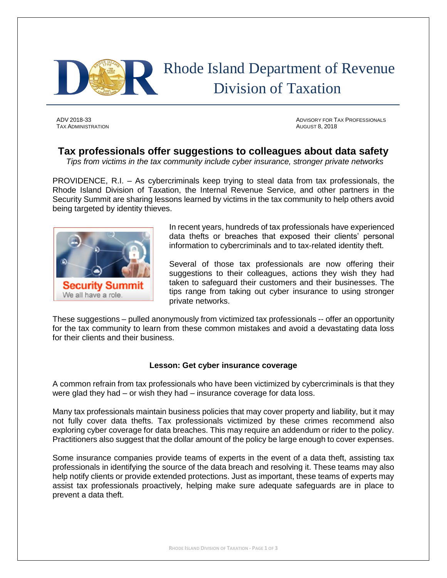

# Rhode Island Department of Revenue Division of Taxation

TAX ADMINISTRATION AUGUST 8, 2018

ADV 2018-33 ADVISORY FOR TAX PROFESSIONALS

## **Tax professionals offer suggestions to colleagues about data safety**

*Tips from victims in the tax community include cyber insurance, stronger private networks*

PROVIDENCE, R.I. – As cybercriminals keep trying to steal data from tax professionals, the Rhode Island Division of Taxation, the Internal Revenue Service, and other partners in the Security Summit are sharing lessons learned by victims in the tax community to help others avoid being targeted by identity thieves.



In recent years, hundreds of tax professionals have experienced data thefts or breaches that exposed their clients' personal information to cybercriminals and to tax-related identity theft.

Several of those tax professionals are now offering their suggestions to their colleagues, actions they wish they had taken to safeguard their customers and their businesses. The tips range from taking out cyber insurance to using stronger private networks.

These suggestions – pulled anonymously from victimized tax professionals -- offer an opportunity for the tax community to learn from these common mistakes and avoid a devastating data loss for their clients and their business.

### **Lesson: Get cyber insurance coverage**

A common refrain from tax professionals who have been victimized by cybercriminals is that they were glad they had – or wish they had – insurance coverage for data loss.

Many tax professionals maintain business policies that may cover property and liability, but it may not fully cover data thefts. Tax professionals victimized by these crimes recommend also exploring cyber coverage for data breaches. This may require an addendum or rider to the policy. Practitioners also suggest that the dollar amount of the policy be large enough to cover expenses.

Some insurance companies provide teams of experts in the event of a data theft, assisting tax professionals in identifying the source of the data breach and resolving it. These teams may also help notify clients or provide extended protections. Just as important, these teams of experts may assist tax professionals proactively, helping make sure adequate safeguards are in place to prevent a data theft.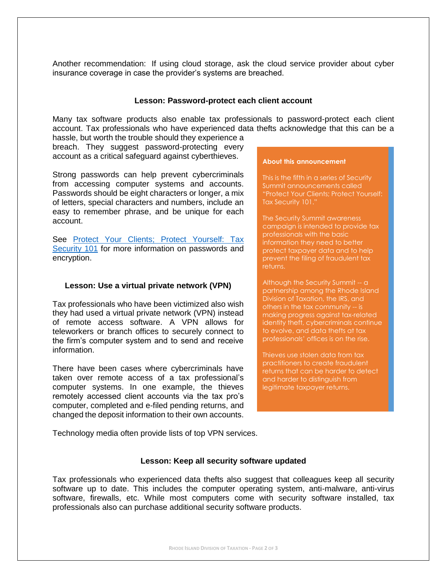Another recommendation: If using cloud storage, ask the cloud service provider about cyber insurance coverage in case the provider's systems are breached.

#### **Lesson: Password-protect each client account**

Many tax software products also enable tax professionals to password-protect each client account. Tax professionals who have experienced data thefts acknowledge that this can be a hassle, but worth the trouble should they experience a

breach. They suggest password-protecting every account as a critical safeguard against cyberthieves.

Strong passwords can help prevent cybercriminals from accessing computer systems and accounts. Passwords should be eight characters or longer, a mix of letters, special characters and numbers, include an easy to remember phrase, and be unique for each account.

See [Protect Your Clients; Protect Yourself: Tax](https://www.irs.gov/newsroom/protect-your-clients-protect-yourself-tax-security-101)  [Security 101](https://www.irs.gov/newsroom/protect-your-clients-protect-yourself-tax-security-101) for more information on passwords and encryption.

#### **Lesson: Use a virtual private network (VPN)**

Tax professionals who have been victimized also wish they had used a virtual private network (VPN) instead of remote access software. A VPN allows for teleworkers or branch offices to securely connect to the firm's computer system and to send and receive information.

There have been cases where cybercriminals have taken over remote access of a tax professional's computer systems. In one example, the thieves remotely accessed client accounts via the tax pro's computer, completed and e-filed pending returns, and changed the deposit information to their own accounts.

#### **About this announcement**

This is the fifth in a series of Security Summit announcements called "Protect Your Clients; Protect Yourself: Tax Security 101."

The Security Summit awareness campaign is intended to provide tax professionals with the basic information they need to better protect taxpayer data and to help prevent the filing of fraudulent tax returns.

Although the Security Summit -- a partnership among the Rhode Island Division of Taxation, the IRS, and others in the tax community -- is making progress against tax-related identity theft, cybercriminals continue to evolve, and data thefts at tax professionals' offices is on the rise.

Thieves use stolen data from tax practitioners to create fraudulent returns that can be harder to detect and harder to distinguish from legitimate taxpayer returns.

Technology media often provide lists of top VPN services.

#### **Lesson: Keep all security software updated**

Tax professionals who experienced data thefts also suggest that colleagues keep all security software up to date. This includes the computer operating system, anti-malware, anti-virus software, firewalls, etc. While most computers come with security software installed, tax professionals also can purchase additional security software products.